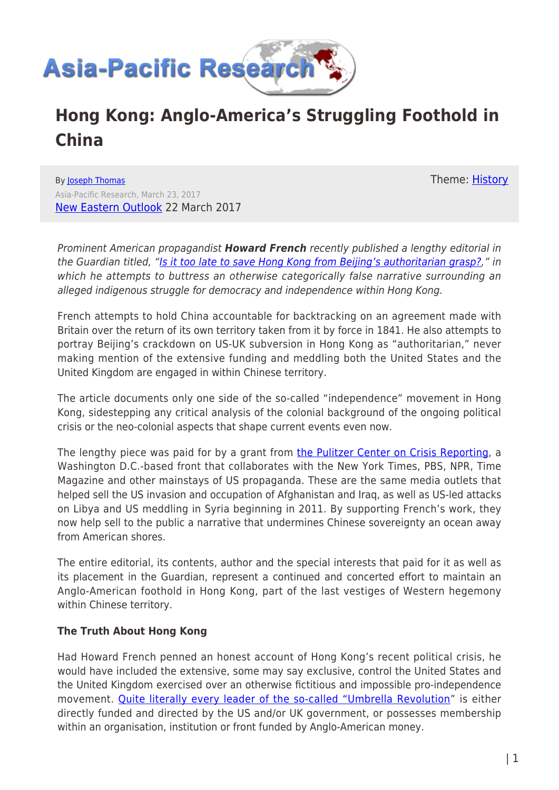

## **Hong Kong: Anglo-America's Struggling Foothold in China**

By [Joseph Thomas](https://www.asia-pacificresearch.com/author/joseph-thomas) Asia-Pacific Research, March 23, 2017 [New Eastern Outlook](https://journal-neo.org/2017/03/22/hong-kong-anglo-americas-struggling-foothold-in-china/) 22 March 2017

Prominent American propagandist *Howard French* recently published a lengthy editorial in the Guardian titled, "[Is it too late to save Hong Kong from Beijing's authoritarian grasp?,](https://www.theguardian.com/world/2017/mar/21/hong-kong-china-authoritarian-democracy-one-country-two-systems)" in which he attempts to buttress an otherwise categorically false narrative surrounding an

French attempts to hold China accountable for backtracking on an agreement made with Britain over the return of its own territory taken from it by force in 1841. He also attempts to portray Beijing's crackdown on US-UK subversion in Hong Kong as "authoritarian," never making mention of the extensive funding and meddling both the United States and the United Kingdom are engaged in within Chinese territory.

alleged indigenous struggle for democracy and independence within Hong Kong.

The article documents only one side of the so-called "independence" movement in Hong Kong, sidestepping any critical analysis of the colonial background of the ongoing political crisis or the neo-colonial aspects that shape current events even now.

The lengthy piece was paid for by a grant from [the Pulitzer Center on Crisis Reporting,](https://pulitzercenter.org/about-us) a Washington D.C.-based front that collaborates with the New York Times, PBS, NPR, Time Magazine and other mainstays of US propaganda. These are the same media outlets that helped sell the US invasion and occupation of Afghanistan and Iraq, as well as US-led attacks on Libya and US meddling in Syria beginning in 2011. By supporting French's work, they now help sell to the public a narrative that undermines Chinese sovereignty an ocean away from American shores.

The entire editorial, its contents, author and the special interests that paid for it as well as its placement in the Guardian, represent a continued and concerted effort to maintain an Anglo-American foothold in Hong Kong, part of the last vestiges of Western hegemony within Chinese territory.

## **The Truth About Hong Kong**

Had Howard French penned an honest account of Hong Kong's recent political crisis, he would have included the extensive, some may say exclusive, control the United States and the United Kingdom exercised over an otherwise fictitious and impossible pro-independence movement. [Quite literally every leader of the so-called "Umbrella Revolution"](https://journal-neo.org/2014/10/24/hong-kong-s-umbrellas-are-made-in-usa/) is either directly funded and directed by the US and/or UK government, or possesses membership within an organisation, institution or front funded by Anglo-American money.

Theme: [History](https://www.asia-pacificresearch.com/theme/as-history)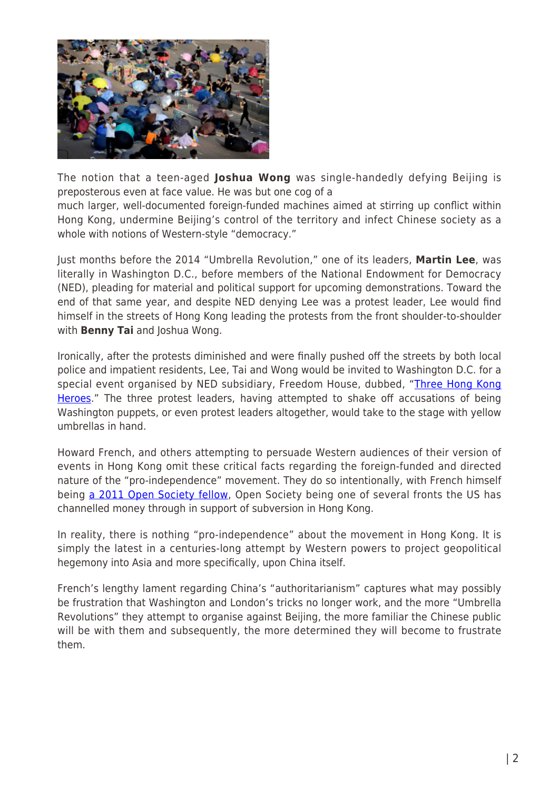

The notion that a teen-aged **Joshua Wong** was single-handedly defying Beijing is preposterous even at face value. He was but one cog of a

much larger, well-documented foreign-funded machines aimed at stirring up conflict within Hong Kong, undermine Beijing's control of the territory and infect Chinese society as a whole with notions of Western-style "democracy."

Just months before the 2014 "Umbrella Revolution," one of its leaders, **Martin Lee**, was literally in Washington D.C., before members of the National Endowment for Democracy (NED), pleading for material and political support for upcoming demonstrations. Toward the end of that same year, and despite NED denying Lee was a protest leader, Lee would find himself in the streets of Hong Kong leading the protests from the front shoulder-to-shoulder with **Benny Tai** and Joshua Wong.

Ironically, after the protests diminished and were finally pushed off the streets by both local police and impatient residents, Lee, Tai and Wong would be invited to Washington D.C. for a special event organised by NED subsidiary, Freedom House, dubbed, "[Three Hong Kong](https://freedomhouse.org/event/75th-anniversary-special-event-honoring-three-generations-hong-kong-democracy-activists) [Heroes.](https://freedomhouse.org/event/75th-anniversary-special-event-honoring-three-generations-hong-kong-democracy-activists)" The three protest leaders, having attempted to shake off accusations of being Washington puppets, or even protest leaders altogether, would take to the stage with yellow umbrellas in hand.

Howard French, and others attempting to persuade Western audiences of their version of events in Hong Kong omit these critical facts regarding the foreign-funded and directed nature of the "pro-independence" movement. They do so intentionally, with French himself being [a 2011 Open Society fellow](https://www.howardwfrench.com/bio/), Open Society being one of several fronts the US has channelled money through in support of subversion in Hong Kong.

In reality, there is nothing "pro-independence" about the movement in Hong Kong. It is simply the latest in a centuries-long attempt by Western powers to project geopolitical hegemony into Asia and more specifically, upon China itself.

French's lengthy lament regarding China's "authoritarianism" captures what may possibly be frustration that Washington and London's tricks no longer work, and the more "Umbrella Revolutions" they attempt to organise against Beijing, the more familiar the Chinese public will be with them and subsequently, the more determined they will become to frustrate them.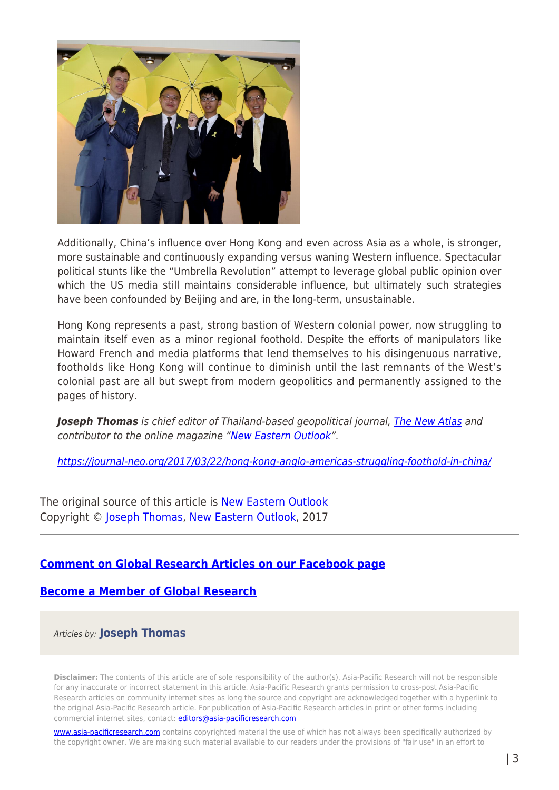

Additionally, China's influence over Hong Kong and even across Asia as a whole, is stronger, more sustainable and continuously expanding versus waning Western influence. Spectacular political stunts like the "Umbrella Revolution" attempt to leverage global public opinion over which the US media still maintains considerable influence, but ultimately such strategies have been confounded by Beijing and are, in the long-term, unsustainable.

Hong Kong represents a past, strong bastion of Western colonial power, now struggling to maintain itself even as a minor regional foothold. Despite the efforts of manipulators like Howard French and media platforms that lend themselves to his disingenuous narrative, footholds like Hong Kong will continue to diminish until the last remnants of the West's colonial past are all but swept from modern geopolitics and permanently assigned to the pages of history.

*Joseph Thomas* is chief editor of Thailand-based geopolitical journal, [The New Atlas](https://www.thenewatlas.org/) and contributor to the online magazine "[New Eastern Outlook"](https://journal-neo.org/).

<https://journal-neo.org/2017/03/22/hong-kong-anglo-americas-struggling-foothold-in-china/>

The original source of this article is [New Eastern Outlook](https://journal-neo.org/2017/03/22/hong-kong-anglo-americas-struggling-foothold-in-china/) Copyright © [Joseph Thomas,](https://www.asia-pacificresearch.com/author/joseph-thomas) [New Eastern Outlook](https://journal-neo.org/2017/03/22/hong-kong-anglo-americas-struggling-foothold-in-china/), 2017

## **[Comment on Global Research Articles on our Facebook page](https://www.facebook.com/GlobalResearchCRG)**

## **[Become a Member of Global Research](https://store.globalresearch.ca/member/)**

Articles by: **[Joseph Thomas](https://www.asia-pacificresearch.com/author/joseph-thomas)**

**Disclaimer:** The contents of this article are of sole responsibility of the author(s). Asia-Pacific Research will not be responsible for any inaccurate or incorrect statement in this article. Asia-Pacific Research grants permission to cross-post Asia-Pacific Research articles on community internet sites as long the source and copyright are acknowledged together with a hyperlink to the original Asia-Pacific Research article. For publication of Asia-Pacific Research articles in print or other forms including commercial internet sites, contact: *[editors@asia-pacificresearch.com](mailto:editors@asia-pacificresearch.com)* 

[www.asia-pacificresearch.com](https://www.asia-pacificresearch.com) contains copyrighted material the use of which has not always been specifically authorized by the copyright owner. We are making such material available to our readers under the provisions of "fair use" in an effort to